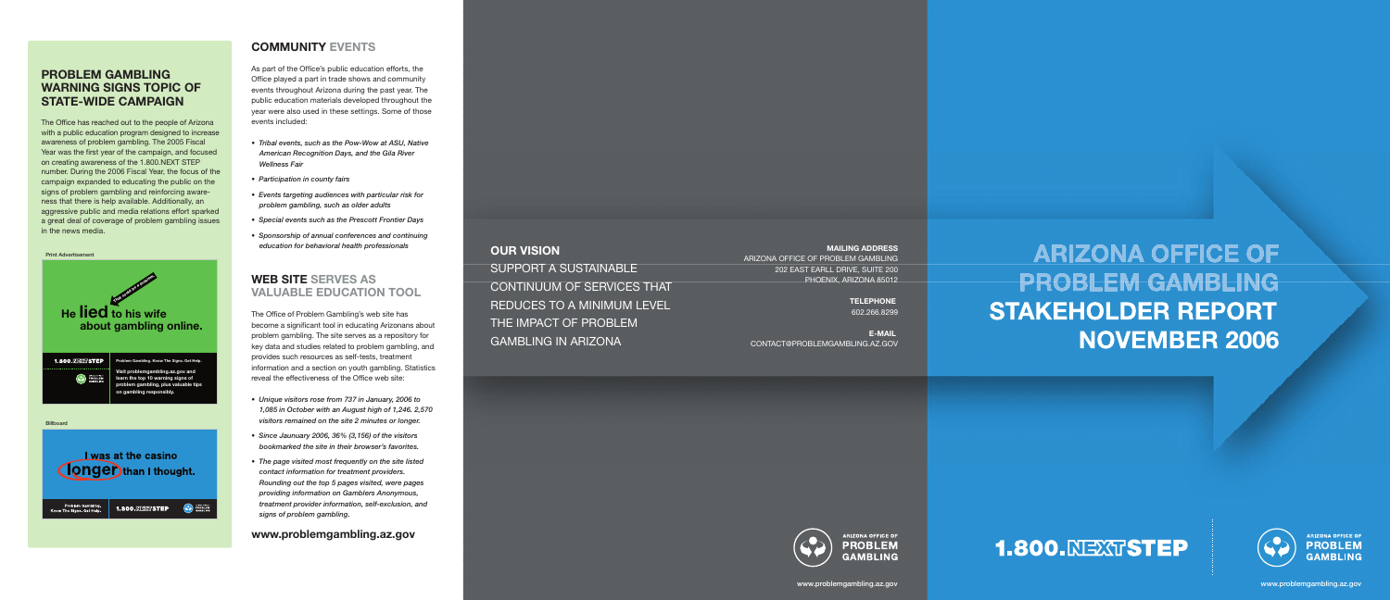**MAILING ADDRESS**

ARIZONA OFFICE OF PROBLEM GAMBLING 202 EAST EARLL DRIVE, SUITE 200 PHOENIX, ARIZONA 85012

> **TELEPHONE** 602.266.8299

**E-MAIL** CONTACT@PROBLEMGAMBLING.AZ.GOV



**ARIZONA OFFICE OF PROBLEM GAMBLING** 





## **PROBLEM GAMBLING WARNING SIGNS TOPIC OF STATE-WIDE CAMPAIGN**

The Office has reached out to the people of Arizona with a public education program designed to increase awareness of problem gambling. The 2005 Fiscal Year was the first year of the campaign, and focused on creating awareness of the 1.800.NEXT STEP number. During the 2006 Fiscal Year, the focus of the campaign expanded to educating the public on the signs of problem gambling and reinforcing aware ness that there is help available. Additionally, an aggressive public and media relations effort sparked a great deal of coverage of problem gambling issues in the news media.

# **COMMUNITY EVENTS**

As part of the Office's public education efforts, the Office played a part in trade shows and community events throughout Arizona during the past year. The public education materials developed throughout the year were also used in these settings. Some of those events included:

- *Tribal events, such as the Pow-Wow at ASU, Native American Recognition Days, and the Gila River Wellness Fair*
- *Participation in county fairs*
- *Events targeting audiences with particular risk for problem gambling, such as older adults*
- *Special events such as the Prescott Frontier Days*
- *Sponsorship of annual conferences and continuing education for behavioral health professionals*

# **WEB SITE SERVES AS VALUABLE EDUCATION TOOL**

The Office of Problem Gambling's web site has become a significant tool in educating Arizonans about problem gambling. The site serves as a repository for key data and studies related to problem gambling, and provides such resources as self-tests, treatment information and a section on youth gambling. Statistics reveal the effectiveness of the Office web site:

- *Unique visitors rose from 737 in January, 2006 to 1,085 in October with an August high of 1,246. 2,570 visitors remained on the site 2 minutes or longer.*
- *Since Jaunuary 2006, 36% (3,156) of the visitors bookmarked the site in their browser's favorites.*
- *The page visited most frequently on the site listed contact information for treatment providers. Rounding out the top 5 pages visited, were pages providing information on Gamblers Anonymous, treatment provider information, self-exclusion, and signs of problem gambling.*

#### **www.problemgambling.az.gov**

#### **OUR VISION**

SUPPORT A SUSTAINABLE CONTINUUM OF SERVICES THAT REDUCES TO A MINIMUM LEVEL THE IMPACT OF PROBLEM GAMBLING IN ARIZONA

# **ARIZONA OFFICE OF PROBLEM GAMBLING STAKEHOLDER REPORT NOVEMBER 2006**



1.800.NEXTSTEP

**CO** PROBLEM

Print Advertisement

Problem Gambling.<br>now The Signs. Get Help.

www.problemgambling.az.gov www.problemgambling.az.gov